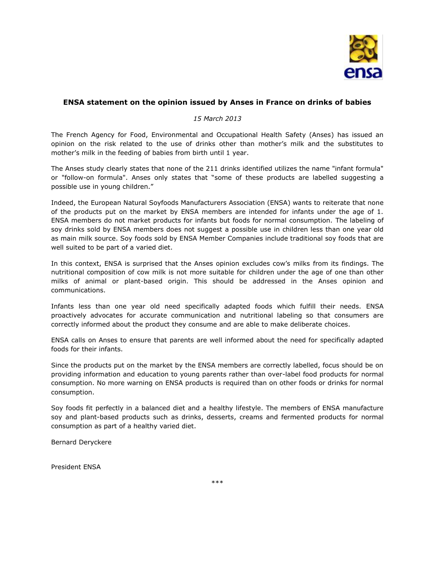

## **ENSA statement on the opinion issued by Anses in France on drinks of babies**

## *15 March 2013*

The French Agency for Food, Environmental and Occupational Health Safety (Anses) has issued an opinion on the risk related to the use of drinks other than mother's milk and the substitutes to mother's milk in the feeding of babies from birth until 1 year.

The Anses study clearly states that none of the 211 drinks identified utilizes the name "infant formula" or "follow-on formula". Anses only states that "some of these products are labelled suggesting a possible use in young children."

Indeed, the European Natural Soyfoods Manufacturers Association (ENSA) wants to reiterate that none of the products put on the market by ENSA members are intended for infants under the age of 1. ENSA members do not market products for infants but foods for normal consumption. The labeling of soy drinks sold by ENSA members does not suggest a possible use in children less than one year old as main milk source. Soy foods sold by ENSA Member Companies include traditional soy foods that are well suited to be part of a varied diet.

In this context, ENSA is surprised that the Anses opinion excludes cow's milks from its findings. The nutritional composition of cow milk is not more suitable for children under the age of one than other milks of animal or plant-based origin. This should be addressed in the Anses opinion and communications.

Infants less than one year old need specifically adapted foods which fulfill their needs. ENSA proactively advocates for accurate communication and nutritional labeling so that consumers are correctly informed about the product they consume and are able to make deliberate choices.

ENSA calls on Anses to ensure that parents are well informed about the need for specifically adapted foods for their infants.

Since the products put on the market by the ENSA members are correctly labelled, focus should be on providing information and education to young parents rather than over-label food products for normal consumption. No more warning on ENSA products is required than on other foods or drinks for normal consumption.

Soy foods fit perfectly in a balanced diet and a healthy lifestyle. The members of ENSA manufacture soy and plant-based products such as drinks, desserts, creams and fermented products for normal consumption as part of a healthy varied diet.

Bernard Deryckere

President ENSA